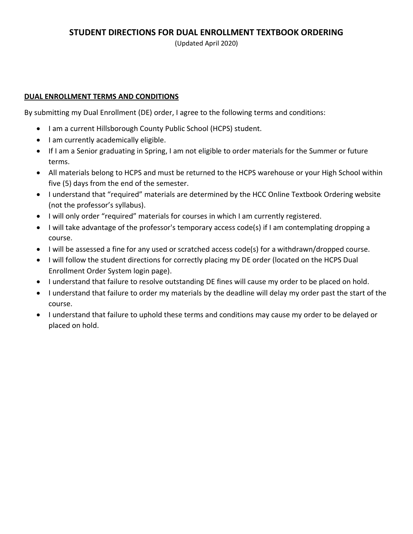(Updated April 2020)

### **DUAL ENROLLMENT TERMS AND CONDITIONS**

By submitting my Dual Enrollment (DE) order, I agree to the following terms and conditions:

- I am a current Hillsborough County Public School (HCPS) student.
- I am currently academically eligible.
- • If I am a Senior graduating in Spring, I am not eligible to order materials for the Summer or future terms.
- • All materials belong to HCPS and must be returned to the HCPS warehouse or your High School within five (5) days from the end of the semester.
- • I understand that "required" materials are determined by the HCC Online Textbook Ordering website (not the professor's syllabus).
- I will only order "required" materials for courses in which I am currently registered.
- • I will take advantage of the professor's temporary access code(s) if I am contemplating dropping a course.
- I will be assessed a fine for any used or scratched access code(s) for a withdrawn/dropped course.
- • I will follow the student directions for correctly placing my DE order (located on the HCPS Dual Enrollment Order System login page).
- I understand that failure to resolve outstanding DE fines will cause my order to be placed on hold.
- • I understand that failure to order my materials by the deadline will delay my order past the start of the course.
- • I understand that failure to uphold these terms and conditions may cause my order to be delayed or placed on hold.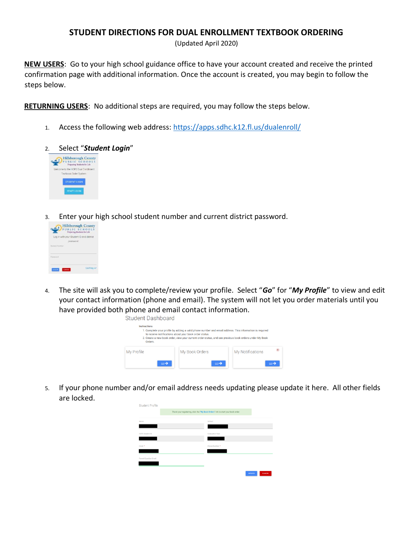(Updated April 2020)

NEW USERS: Go to your high school guidance office to have your account created and receive the printed confirmation page with additional information. Once the account is created, you may begin to follow the steps below.

**RETURNING USERS:** No additional steps are required, you may follow the steps below.

- Access the following web address: https://apps.sdhc.k12.fl.us/dualenroll/  $1.$
- Select "Student Login"  $\mathcal{L}$



Enter your high school student number and current district password. 3.

|                   | Log in with your Student ID and district |
|-------------------|------------------------------------------|
|                   | DASSIMON!                                |
| Shielwoo Marriber |                                          |
|                   |                                          |
|                   |                                          |
| Pageword          |                                          |

The site will ask you to complete/review your profile. Select "Go" for "My Profile" to view and edit  $4.$ your contact information (phone and email). The system will not let you order materials until you have provided both phone and email contact information.

Student Dashboard



If your phone number and/or email address needs updating please update it here. All other fields  $5.$ are locked.

| <b>Student Profile</b>  |                                                                                   |               |
|-------------------------|-----------------------------------------------------------------------------------|---------------|
|                         | Thank your registering, click the "My Book Orders" link to start your book order. |               |
| Name:                   | School:                                                                           |               |
|                         |                                                                                   |               |
| <b>HCPS Student ID:</b> | <b>Graduation Year:</b>                                                           |               |
|                         |                                                                                   |               |
| Email: *                | Phone Number: *                                                                   |               |
|                         |                                                                                   |               |
| Parent/Guardian Email:  |                                                                                   |               |
|                         |                                                                                   |               |
|                         | <b>UPDATE</b>                                                                     | <b>CANCEL</b> |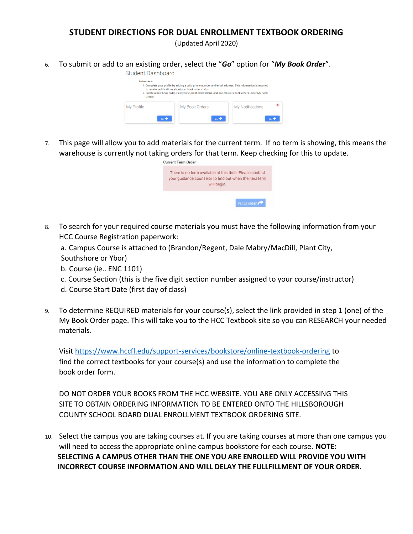(Updated April 2020)

6. To submit or add to an existing order, select the "*Go*" option for "*My Book Order*".



 7. This page will allow you to add materials for the current term. If no term is showing, this means the warehouse is currently not taking orders for that term. Keep checking for this to update.

| There is no term available at this time. Please contact |
|---------------------------------------------------------|
| your quidance counselor to find out when the next term  |
| will begin.                                             |
|                                                         |
|                                                         |
|                                                         |

 8. To search for your required course materials you must have the following information from your HCC Course Registration paperwork:

 a. Campus Course is attached to (Brandon/Regent, Dale Mabry/MacDill, Plant City, Southshore or Ybor)

- b. Course (ie.. ENC 1101)
- c. Course Section (this is the five digit section number assigned to your course/instructor)
- d. Course Start Date (first day of class)
- 9. To determine REQUIRED materials for your course(s), select the link provided in step 1 (one) of the My Book Order page. This will take you to the HCC Textbook site so you can RESEARCH your needed materials.

 find the correct textbooks for your course(s) and use the information to complete the book order form. Visit<https://www.hccfl.edu/support-services/bookstore/online-textbook-ordering>to

 DO NOT ORDER YOUR BOOKS FROM THE HCC WEBSITE. YOU ARE ONLY ACCESSING THIS SITE TO OBTAIN ORDERING INFORMATION TO BE ENTERED ONTO THE HILLSBOROUGH COUNTY SCHOOL BOARD DUAL ENROLLMENT TEXTBOOK ORDERING SITE.

 10. Select the campus you are taking courses at. If you are taking courses at more than one campus you will need to access the appropriate online campus bookstore for each course. **NOTE: SELECTING A CAMPUS OTHER THAN THE ONE YOU ARE ENROLLED WILL PROVIDE YOU WITH INCORRECT COURSE INFORMATION AND WILL DELAY THE FULLFILLMENT OF YOUR ORDER.**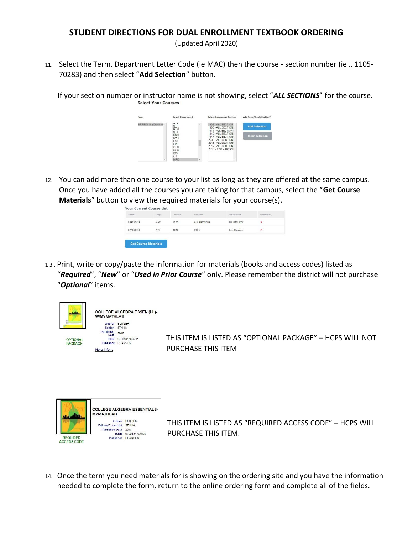(Updated April 2020)

 11. Select the Term, Department Letter Code (ie MAC) then the course - section number (ie .. 1105- 70283) and then select "**Add Selection**" button.

 If your section number or instructor name is not showing, select "*ALL SECTIONS*" for the course. Select Your Courses



 12. You can add more than one course to your list as long as they are offered at the same campus. Once you have added all the courses you are taking for that campus, select the "**Get Course Materials**" button to view the required materials for your course(s).

| <b>Your Current Course List</b> |                          |                       |              |              |         |
|---------------------------------|--------------------------|-----------------------|--------------|--------------|---------|
| Term                            | Dept                     | Course                | Section      | Instructor   | Remove? |
| SPRING 18                       | MAC                      | 1105                  | ALL SECTIONS | ALL FACULTY  | ×       |
| NOVEMBER 2010<br>SPRING 18      | <b>CONTRACTOR</b><br>PHY | <b>ROMANY</b><br>2048 | 7976         | Desi Saludes | ×       |
|                                 |                          |                       |              |              |         |
| <b>Get Course Materials</b>     |                          |                       |              |              |         |

 1 3 . Print, write or copy/paste the information for materials (books and access codes) listed as  "*Required*", "*New*" or "*Used in Prior Course*" only. Please remember the district will not purchase "*Optional*" items.



OPTIONAL PACKAGE

COLLEGE ALGEBRA ESSEN.(LL)· WIMYMATHLAB Author BLITZER<br>Edition 5TH 18 Published<br>Date 2018 ISBN 9780134765532 Publisher PEARSON More info...

 THIS ITEM IS LISTED AS "OPTIONAL PACKAGE" – HCPS WILL NOT PURCHASE THIS ITEM



THIS ITEM IS LISTED AS "REQUIRED ACCESS CODE" – HCPS WILL PURCHASE THIS ITEM.

 14. Once the term you need materials for is showing on the ordering site and you have the information needed to complete the form, return to the online ordering form and complete all of the fields.